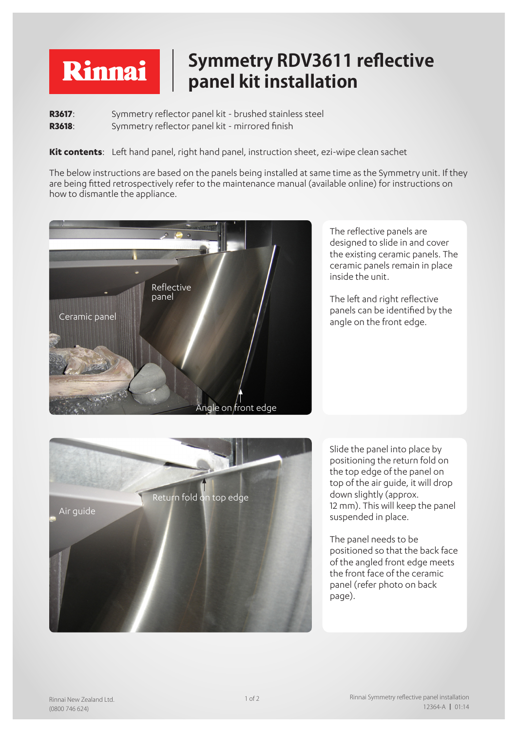## **Symmetry RDV3611 reflective**  Rinnai **panel kit installation**

**R3617:** Symmetry reflector panel kit - brushed stainless steel **R3618**: Symmetry reflector panel kit - mirrored finish

**Kit contents**: Left hand panel, right hand panel, instruction sheet, ezi-wipe clean sachet

The below instructions are based on the panels being installed at same time as the Symmetry unit. If they are being fitted retrospectively refer to the maintenance manual (available online) for instructions on how to dismantle the appliance.



The reflective panels are designed to slide in and cover the existing ceramic panels. The ceramic panels remain in place inside the unit.

The left and right reflective panels can be identified by the angle on the front edge.



Slide the panel into place by positioning the return fold on the top edge of the panel on top of the air guide, it will drop down slightly (approx. 12 mm). This will keep the panel suspended in place.

The panel needs to be positioned so that the back face of the angled front edge meets the front face of the ceramic panel (refer photo on back page).